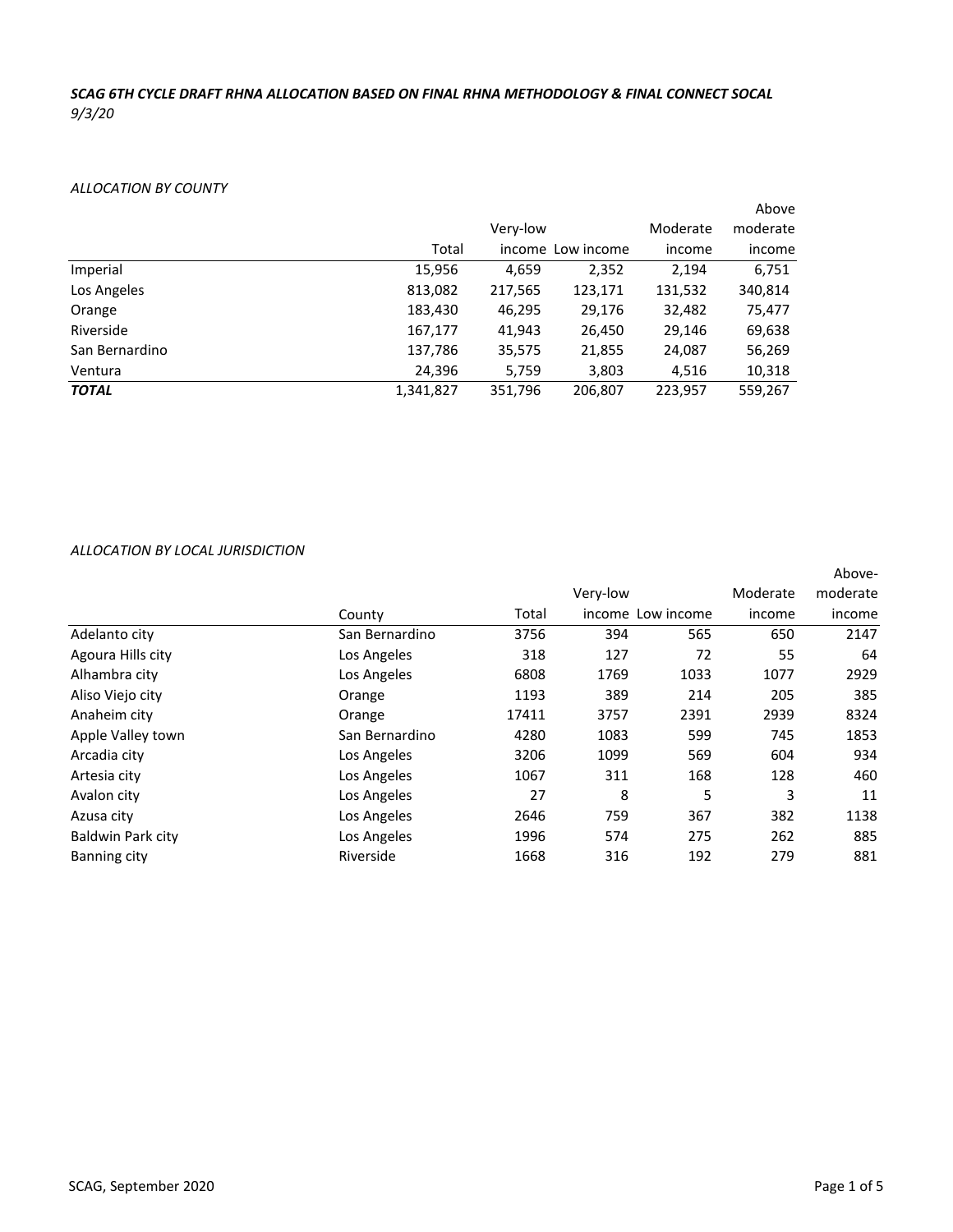# *SCAG 6TH CYCLE DRAFT RHNA ALLOCATION BASED ON FINAL RHNA METHODOLOGY & FINAL CONNECT SOCAL 9/3/20*

# *ALLOCATION BY COUNTY*

|                |           |          |                   |          | Above    |
|----------------|-----------|----------|-------------------|----------|----------|
|                |           | Very-low |                   | Moderate | moderate |
|                | Total     |          | income Low income | income   | income   |
| Imperial       | 15,956    | 4,659    | 2,352             | 2,194    | 6,751    |
| Los Angeles    | 813,082   | 217,565  | 123,171           | 131,532  | 340,814  |
| Orange         | 183,430   | 46,295   | 29,176            | 32,482   | 75,477   |
| Riverside      | 167,177   | 41,943   | 26,450            | 29,146   | 69,638   |
| San Bernardino | 137,786   | 35,575   | 21,855            | 24,087   | 56,269   |
| Ventura        | 24,396    | 5,759    | 3,803             | 4,516    | 10,318   |
| <b>TOTAL</b>   | 1,341,827 | 351,796  | 206,807           | 223,957  | 559,267  |

|                          |                |       |                   |      |          | Above-   |
|--------------------------|----------------|-------|-------------------|------|----------|----------|
|                          |                |       | Very-low          |      | Moderate | moderate |
|                          | County         | Total | income Low income |      | income   | income   |
| Adelanto city            | San Bernardino | 3756  | 394               | 565  | 650      | 2147     |
| Agoura Hills city        | Los Angeles    | 318   | 127               | 72   | 55       | 64       |
| Alhambra city            | Los Angeles    | 6808  | 1769              | 1033 | 1077     | 2929     |
| Aliso Viejo city         | Orange         | 1193  | 389               | 214  | 205      | 385      |
| Anaheim city             | Orange         | 17411 | 3757              | 2391 | 2939     | 8324     |
| Apple Valley town        | San Bernardino | 4280  | 1083              | 599  | 745      | 1853     |
| Arcadia city             | Los Angeles    | 3206  | 1099              | 569  | 604      | 934      |
| Artesia city             | Los Angeles    | 1067  | 311               | 168  | 128      | 460      |
| Avalon city              | Los Angeles    | 27    | 8                 | 5    | 3        | 11       |
| Azusa city               | Los Angeles    | 2646  | 759               | 367  | 382      | 1138     |
| <b>Baldwin Park city</b> | Los Angeles    | 1996  | 574               | 275  | 262      | 885      |
| Banning city             | Riverside      | 1668  | 316               | 192  | 279      | 881      |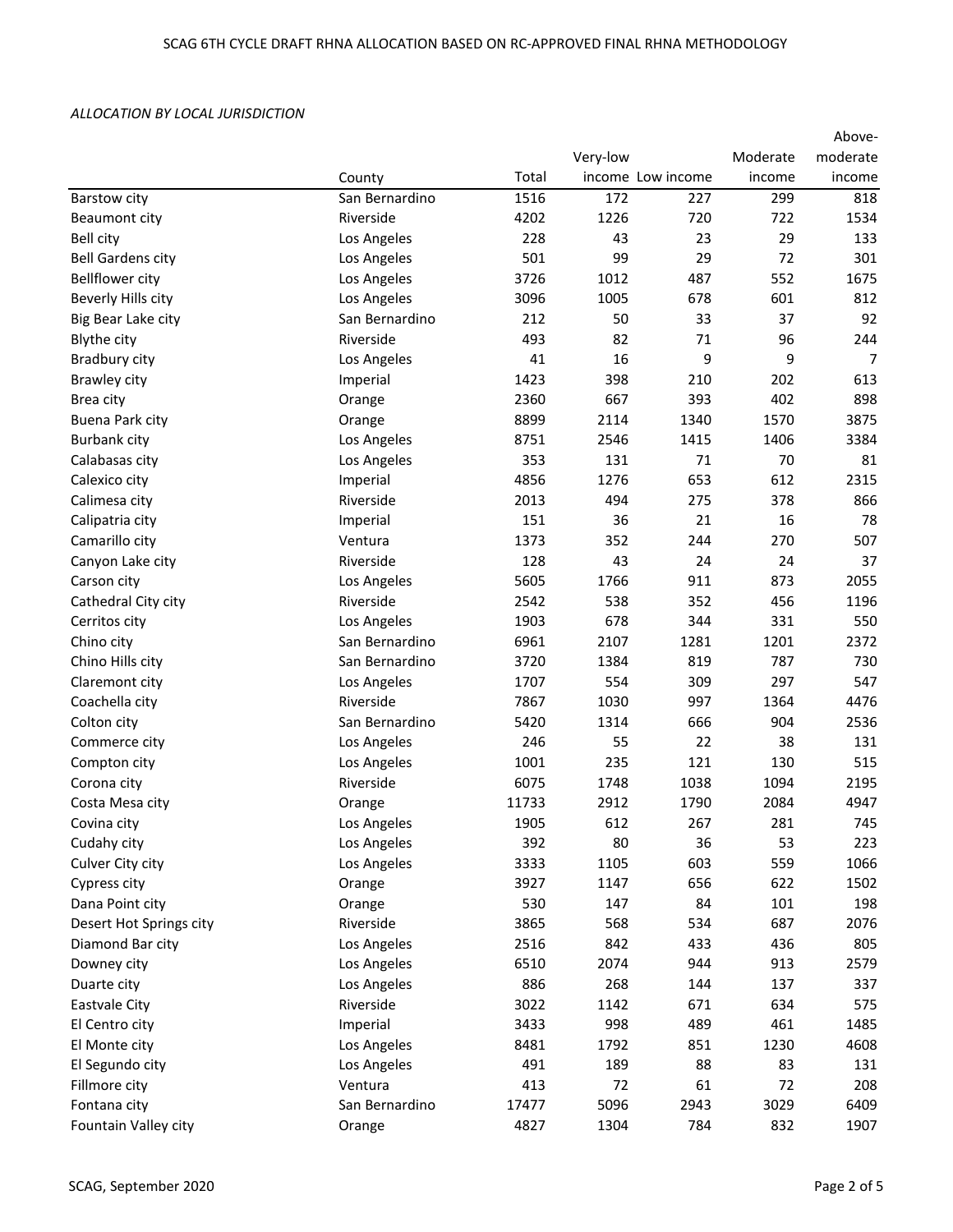| moderate<br>Very-low<br>Moderate<br>Total<br>income Low income<br>income<br>income<br>County<br>1516<br>172<br>818<br>San Bernardino<br>227<br>299<br>Barstow city<br>4202<br>Riverside<br>1226<br>720<br>722<br>1534<br><b>Beaumont city</b><br>228<br>43<br>23<br>29<br><b>Bell city</b><br>Los Angeles<br>133<br>501<br>99<br>29<br>72<br>301<br><b>Bell Gardens city</b><br>Los Angeles<br>552<br>1675<br><b>Bellflower city</b><br>Los Angeles<br>3726<br>1012<br>487<br>1005<br>601<br>Beverly Hills city<br>Los Angeles<br>3096<br>678<br>812<br>212<br>50<br>37<br>92<br>San Bernardino<br>33<br>Big Bear Lake city<br>Riverside<br>493<br>82<br>71<br><b>Blythe city</b><br>96<br>244<br>9<br>41<br>16<br>9<br>$\overline{7}$<br>Bradbury city<br>Los Angeles<br>1423<br>398<br>210<br>202<br>613<br>Brawley city<br>Imperial<br>402<br>2360<br>667<br>393<br>898<br>Brea city<br>Orange<br>1570<br>8899<br>2114<br>1340<br>3875<br>Buena Park city<br>Orange<br><b>Burbank city</b><br>Los Angeles<br>8751<br>2546<br>1415<br>1406<br>3384<br>353<br>131<br>71<br>70<br>81<br>Los Angeles<br>Calabasas city<br>4856<br>1276<br>653<br>612<br>2315<br>Calexico city<br>Imperial<br>2013<br>494<br>378<br>866<br>Riverside<br>275<br>Calimesa city<br>151<br>36<br>21<br>16<br>78<br>Calipatria city<br>Imperial<br>270<br>Camarillo city<br>Ventura<br>1373<br>352<br>244<br>507<br>128<br>43<br>24<br>37<br>Riverside<br>24<br>Canyon Lake city<br>5605<br>1766<br>873<br>2055<br>Los Angeles<br>911<br>Carson city<br>Riverside<br>2542<br>538<br>352<br>456<br>Cathedral City city<br>1196<br>1903<br>678<br>331<br>550<br>Cerritos city<br>Los Angeles<br>344<br>6961<br>2107<br>1201<br>2372<br>Chino city<br>San Bernardino<br>1281<br>Chino Hills city<br>San Bernardino<br>3720<br>1384<br>819<br>787<br>730<br>554<br>297<br>547<br>Claremont city<br>Los Angeles<br>1707<br>309<br>Riverside<br>7867<br>1030<br>997<br>1364<br>4476<br>Coachella city<br>904<br>Colton city<br>San Bernardino<br>5420<br>1314<br>666<br>2536<br>246<br>55<br>22<br>38<br>131<br>Commerce city<br>Los Angeles<br>1001<br>235<br>121<br>515<br>Compton city<br>Los Angeles<br>130<br>Riverside<br>6075<br>1038<br>1748<br>1094<br>2195<br>Corona city<br>2084<br>4947<br>Costa Mesa city<br>11733<br>2912<br>1790<br>Orange<br>612<br>1905<br>267<br>281<br>745<br>Covina city<br>Los Angeles<br>392<br>80<br>36<br>53<br>223<br>Los Angeles<br>Cudahy city<br>3333<br>1105<br>603<br>559<br>1066<br>Culver City city<br>Los Angeles<br>Orange<br>3927<br>1147<br>656<br>622<br>1502<br>Cypress city<br>530<br>Dana Point city<br>147<br>84<br>101<br>198<br>Orange<br>568<br>687<br>Desert Hot Springs city<br>Riverside<br>3865<br>534<br>2076<br>2516<br>Los Angeles<br>842<br>433<br>436<br>805<br>Diamond Bar city<br>Los Angeles<br>6510<br>2074<br>944<br>913<br>2579<br>Downey city<br>886<br>268<br>137<br>Los Angeles<br>144<br>337<br>Duarte city<br>3022<br>671<br>634<br>Riverside<br>1142<br>575<br>Eastvale City<br>998<br>461<br>El Centro city<br>Imperial<br>3433<br>489<br>1485<br>El Monte city<br>Los Angeles<br>8481<br>1792<br>851<br>1230<br>4608 |                 |             |     |     |    |    | Above- |
|----------------------------------------------------------------------------------------------------------------------------------------------------------------------------------------------------------------------------------------------------------------------------------------------------------------------------------------------------------------------------------------------------------------------------------------------------------------------------------------------------------------------------------------------------------------------------------------------------------------------------------------------------------------------------------------------------------------------------------------------------------------------------------------------------------------------------------------------------------------------------------------------------------------------------------------------------------------------------------------------------------------------------------------------------------------------------------------------------------------------------------------------------------------------------------------------------------------------------------------------------------------------------------------------------------------------------------------------------------------------------------------------------------------------------------------------------------------------------------------------------------------------------------------------------------------------------------------------------------------------------------------------------------------------------------------------------------------------------------------------------------------------------------------------------------------------------------------------------------------------------------------------------------------------------------------------------------------------------------------------------------------------------------------------------------------------------------------------------------------------------------------------------------------------------------------------------------------------------------------------------------------------------------------------------------------------------------------------------------------------------------------------------------------------------------------------------------------------------------------------------------------------------------------------------------------------------------------------------------------------------------------------------------------------------------------------------------------------------------------------------------------------------------------------------------------------------------------------------------------------------------------------------------------------------------------------------------------------------------------------------------------------------------------------------------------------------------------------------------------------------------------------------------------------------|-----------------|-------------|-----|-----|----|----|--------|
|                                                                                                                                                                                                                                                                                                                                                                                                                                                                                                                                                                                                                                                                                                                                                                                                                                                                                                                                                                                                                                                                                                                                                                                                                                                                                                                                                                                                                                                                                                                                                                                                                                                                                                                                                                                                                                                                                                                                                                                                                                                                                                                                                                                                                                                                                                                                                                                                                                                                                                                                                                                                                                                                                                                                                                                                                                                                                                                                                                                                                                                                                                                                                                            |                 |             |     |     |    |    |        |
|                                                                                                                                                                                                                                                                                                                                                                                                                                                                                                                                                                                                                                                                                                                                                                                                                                                                                                                                                                                                                                                                                                                                                                                                                                                                                                                                                                                                                                                                                                                                                                                                                                                                                                                                                                                                                                                                                                                                                                                                                                                                                                                                                                                                                                                                                                                                                                                                                                                                                                                                                                                                                                                                                                                                                                                                                                                                                                                                                                                                                                                                                                                                                                            |                 |             |     |     |    |    |        |
|                                                                                                                                                                                                                                                                                                                                                                                                                                                                                                                                                                                                                                                                                                                                                                                                                                                                                                                                                                                                                                                                                                                                                                                                                                                                                                                                                                                                                                                                                                                                                                                                                                                                                                                                                                                                                                                                                                                                                                                                                                                                                                                                                                                                                                                                                                                                                                                                                                                                                                                                                                                                                                                                                                                                                                                                                                                                                                                                                                                                                                                                                                                                                                            |                 |             |     |     |    |    |        |
|                                                                                                                                                                                                                                                                                                                                                                                                                                                                                                                                                                                                                                                                                                                                                                                                                                                                                                                                                                                                                                                                                                                                                                                                                                                                                                                                                                                                                                                                                                                                                                                                                                                                                                                                                                                                                                                                                                                                                                                                                                                                                                                                                                                                                                                                                                                                                                                                                                                                                                                                                                                                                                                                                                                                                                                                                                                                                                                                                                                                                                                                                                                                                                            |                 |             |     |     |    |    |        |
|                                                                                                                                                                                                                                                                                                                                                                                                                                                                                                                                                                                                                                                                                                                                                                                                                                                                                                                                                                                                                                                                                                                                                                                                                                                                                                                                                                                                                                                                                                                                                                                                                                                                                                                                                                                                                                                                                                                                                                                                                                                                                                                                                                                                                                                                                                                                                                                                                                                                                                                                                                                                                                                                                                                                                                                                                                                                                                                                                                                                                                                                                                                                                                            |                 |             |     |     |    |    |        |
|                                                                                                                                                                                                                                                                                                                                                                                                                                                                                                                                                                                                                                                                                                                                                                                                                                                                                                                                                                                                                                                                                                                                                                                                                                                                                                                                                                                                                                                                                                                                                                                                                                                                                                                                                                                                                                                                                                                                                                                                                                                                                                                                                                                                                                                                                                                                                                                                                                                                                                                                                                                                                                                                                                                                                                                                                                                                                                                                                                                                                                                                                                                                                                            |                 |             |     |     |    |    |        |
|                                                                                                                                                                                                                                                                                                                                                                                                                                                                                                                                                                                                                                                                                                                                                                                                                                                                                                                                                                                                                                                                                                                                                                                                                                                                                                                                                                                                                                                                                                                                                                                                                                                                                                                                                                                                                                                                                                                                                                                                                                                                                                                                                                                                                                                                                                                                                                                                                                                                                                                                                                                                                                                                                                                                                                                                                                                                                                                                                                                                                                                                                                                                                                            |                 |             |     |     |    |    |        |
|                                                                                                                                                                                                                                                                                                                                                                                                                                                                                                                                                                                                                                                                                                                                                                                                                                                                                                                                                                                                                                                                                                                                                                                                                                                                                                                                                                                                                                                                                                                                                                                                                                                                                                                                                                                                                                                                                                                                                                                                                                                                                                                                                                                                                                                                                                                                                                                                                                                                                                                                                                                                                                                                                                                                                                                                                                                                                                                                                                                                                                                                                                                                                                            |                 |             |     |     |    |    |        |
|                                                                                                                                                                                                                                                                                                                                                                                                                                                                                                                                                                                                                                                                                                                                                                                                                                                                                                                                                                                                                                                                                                                                                                                                                                                                                                                                                                                                                                                                                                                                                                                                                                                                                                                                                                                                                                                                                                                                                                                                                                                                                                                                                                                                                                                                                                                                                                                                                                                                                                                                                                                                                                                                                                                                                                                                                                                                                                                                                                                                                                                                                                                                                                            |                 |             |     |     |    |    |        |
|                                                                                                                                                                                                                                                                                                                                                                                                                                                                                                                                                                                                                                                                                                                                                                                                                                                                                                                                                                                                                                                                                                                                                                                                                                                                                                                                                                                                                                                                                                                                                                                                                                                                                                                                                                                                                                                                                                                                                                                                                                                                                                                                                                                                                                                                                                                                                                                                                                                                                                                                                                                                                                                                                                                                                                                                                                                                                                                                                                                                                                                                                                                                                                            |                 |             |     |     |    |    |        |
|                                                                                                                                                                                                                                                                                                                                                                                                                                                                                                                                                                                                                                                                                                                                                                                                                                                                                                                                                                                                                                                                                                                                                                                                                                                                                                                                                                                                                                                                                                                                                                                                                                                                                                                                                                                                                                                                                                                                                                                                                                                                                                                                                                                                                                                                                                                                                                                                                                                                                                                                                                                                                                                                                                                                                                                                                                                                                                                                                                                                                                                                                                                                                                            |                 |             |     |     |    |    |        |
|                                                                                                                                                                                                                                                                                                                                                                                                                                                                                                                                                                                                                                                                                                                                                                                                                                                                                                                                                                                                                                                                                                                                                                                                                                                                                                                                                                                                                                                                                                                                                                                                                                                                                                                                                                                                                                                                                                                                                                                                                                                                                                                                                                                                                                                                                                                                                                                                                                                                                                                                                                                                                                                                                                                                                                                                                                                                                                                                                                                                                                                                                                                                                                            |                 |             |     |     |    |    |        |
|                                                                                                                                                                                                                                                                                                                                                                                                                                                                                                                                                                                                                                                                                                                                                                                                                                                                                                                                                                                                                                                                                                                                                                                                                                                                                                                                                                                                                                                                                                                                                                                                                                                                                                                                                                                                                                                                                                                                                                                                                                                                                                                                                                                                                                                                                                                                                                                                                                                                                                                                                                                                                                                                                                                                                                                                                                                                                                                                                                                                                                                                                                                                                                            |                 |             |     |     |    |    |        |
|                                                                                                                                                                                                                                                                                                                                                                                                                                                                                                                                                                                                                                                                                                                                                                                                                                                                                                                                                                                                                                                                                                                                                                                                                                                                                                                                                                                                                                                                                                                                                                                                                                                                                                                                                                                                                                                                                                                                                                                                                                                                                                                                                                                                                                                                                                                                                                                                                                                                                                                                                                                                                                                                                                                                                                                                                                                                                                                                                                                                                                                                                                                                                                            |                 |             |     |     |    |    |        |
|                                                                                                                                                                                                                                                                                                                                                                                                                                                                                                                                                                                                                                                                                                                                                                                                                                                                                                                                                                                                                                                                                                                                                                                                                                                                                                                                                                                                                                                                                                                                                                                                                                                                                                                                                                                                                                                                                                                                                                                                                                                                                                                                                                                                                                                                                                                                                                                                                                                                                                                                                                                                                                                                                                                                                                                                                                                                                                                                                                                                                                                                                                                                                                            |                 |             |     |     |    |    |        |
|                                                                                                                                                                                                                                                                                                                                                                                                                                                                                                                                                                                                                                                                                                                                                                                                                                                                                                                                                                                                                                                                                                                                                                                                                                                                                                                                                                                                                                                                                                                                                                                                                                                                                                                                                                                                                                                                                                                                                                                                                                                                                                                                                                                                                                                                                                                                                                                                                                                                                                                                                                                                                                                                                                                                                                                                                                                                                                                                                                                                                                                                                                                                                                            |                 |             |     |     |    |    |        |
|                                                                                                                                                                                                                                                                                                                                                                                                                                                                                                                                                                                                                                                                                                                                                                                                                                                                                                                                                                                                                                                                                                                                                                                                                                                                                                                                                                                                                                                                                                                                                                                                                                                                                                                                                                                                                                                                                                                                                                                                                                                                                                                                                                                                                                                                                                                                                                                                                                                                                                                                                                                                                                                                                                                                                                                                                                                                                                                                                                                                                                                                                                                                                                            |                 |             |     |     |    |    |        |
|                                                                                                                                                                                                                                                                                                                                                                                                                                                                                                                                                                                                                                                                                                                                                                                                                                                                                                                                                                                                                                                                                                                                                                                                                                                                                                                                                                                                                                                                                                                                                                                                                                                                                                                                                                                                                                                                                                                                                                                                                                                                                                                                                                                                                                                                                                                                                                                                                                                                                                                                                                                                                                                                                                                                                                                                                                                                                                                                                                                                                                                                                                                                                                            |                 |             |     |     |    |    |        |
|                                                                                                                                                                                                                                                                                                                                                                                                                                                                                                                                                                                                                                                                                                                                                                                                                                                                                                                                                                                                                                                                                                                                                                                                                                                                                                                                                                                                                                                                                                                                                                                                                                                                                                                                                                                                                                                                                                                                                                                                                                                                                                                                                                                                                                                                                                                                                                                                                                                                                                                                                                                                                                                                                                                                                                                                                                                                                                                                                                                                                                                                                                                                                                            |                 |             |     |     |    |    |        |
|                                                                                                                                                                                                                                                                                                                                                                                                                                                                                                                                                                                                                                                                                                                                                                                                                                                                                                                                                                                                                                                                                                                                                                                                                                                                                                                                                                                                                                                                                                                                                                                                                                                                                                                                                                                                                                                                                                                                                                                                                                                                                                                                                                                                                                                                                                                                                                                                                                                                                                                                                                                                                                                                                                                                                                                                                                                                                                                                                                                                                                                                                                                                                                            |                 |             |     |     |    |    |        |
|                                                                                                                                                                                                                                                                                                                                                                                                                                                                                                                                                                                                                                                                                                                                                                                                                                                                                                                                                                                                                                                                                                                                                                                                                                                                                                                                                                                                                                                                                                                                                                                                                                                                                                                                                                                                                                                                                                                                                                                                                                                                                                                                                                                                                                                                                                                                                                                                                                                                                                                                                                                                                                                                                                                                                                                                                                                                                                                                                                                                                                                                                                                                                                            |                 |             |     |     |    |    |        |
|                                                                                                                                                                                                                                                                                                                                                                                                                                                                                                                                                                                                                                                                                                                                                                                                                                                                                                                                                                                                                                                                                                                                                                                                                                                                                                                                                                                                                                                                                                                                                                                                                                                                                                                                                                                                                                                                                                                                                                                                                                                                                                                                                                                                                                                                                                                                                                                                                                                                                                                                                                                                                                                                                                                                                                                                                                                                                                                                                                                                                                                                                                                                                                            |                 |             |     |     |    |    |        |
|                                                                                                                                                                                                                                                                                                                                                                                                                                                                                                                                                                                                                                                                                                                                                                                                                                                                                                                                                                                                                                                                                                                                                                                                                                                                                                                                                                                                                                                                                                                                                                                                                                                                                                                                                                                                                                                                                                                                                                                                                                                                                                                                                                                                                                                                                                                                                                                                                                                                                                                                                                                                                                                                                                                                                                                                                                                                                                                                                                                                                                                                                                                                                                            |                 |             |     |     |    |    |        |
|                                                                                                                                                                                                                                                                                                                                                                                                                                                                                                                                                                                                                                                                                                                                                                                                                                                                                                                                                                                                                                                                                                                                                                                                                                                                                                                                                                                                                                                                                                                                                                                                                                                                                                                                                                                                                                                                                                                                                                                                                                                                                                                                                                                                                                                                                                                                                                                                                                                                                                                                                                                                                                                                                                                                                                                                                                                                                                                                                                                                                                                                                                                                                                            |                 |             |     |     |    |    |        |
|                                                                                                                                                                                                                                                                                                                                                                                                                                                                                                                                                                                                                                                                                                                                                                                                                                                                                                                                                                                                                                                                                                                                                                                                                                                                                                                                                                                                                                                                                                                                                                                                                                                                                                                                                                                                                                                                                                                                                                                                                                                                                                                                                                                                                                                                                                                                                                                                                                                                                                                                                                                                                                                                                                                                                                                                                                                                                                                                                                                                                                                                                                                                                                            |                 |             |     |     |    |    |        |
|                                                                                                                                                                                                                                                                                                                                                                                                                                                                                                                                                                                                                                                                                                                                                                                                                                                                                                                                                                                                                                                                                                                                                                                                                                                                                                                                                                                                                                                                                                                                                                                                                                                                                                                                                                                                                                                                                                                                                                                                                                                                                                                                                                                                                                                                                                                                                                                                                                                                                                                                                                                                                                                                                                                                                                                                                                                                                                                                                                                                                                                                                                                                                                            |                 |             |     |     |    |    |        |
|                                                                                                                                                                                                                                                                                                                                                                                                                                                                                                                                                                                                                                                                                                                                                                                                                                                                                                                                                                                                                                                                                                                                                                                                                                                                                                                                                                                                                                                                                                                                                                                                                                                                                                                                                                                                                                                                                                                                                                                                                                                                                                                                                                                                                                                                                                                                                                                                                                                                                                                                                                                                                                                                                                                                                                                                                                                                                                                                                                                                                                                                                                                                                                            |                 |             |     |     |    |    |        |
|                                                                                                                                                                                                                                                                                                                                                                                                                                                                                                                                                                                                                                                                                                                                                                                                                                                                                                                                                                                                                                                                                                                                                                                                                                                                                                                                                                                                                                                                                                                                                                                                                                                                                                                                                                                                                                                                                                                                                                                                                                                                                                                                                                                                                                                                                                                                                                                                                                                                                                                                                                                                                                                                                                                                                                                                                                                                                                                                                                                                                                                                                                                                                                            |                 |             |     |     |    |    |        |
|                                                                                                                                                                                                                                                                                                                                                                                                                                                                                                                                                                                                                                                                                                                                                                                                                                                                                                                                                                                                                                                                                                                                                                                                                                                                                                                                                                                                                                                                                                                                                                                                                                                                                                                                                                                                                                                                                                                                                                                                                                                                                                                                                                                                                                                                                                                                                                                                                                                                                                                                                                                                                                                                                                                                                                                                                                                                                                                                                                                                                                                                                                                                                                            |                 |             |     |     |    |    |        |
|                                                                                                                                                                                                                                                                                                                                                                                                                                                                                                                                                                                                                                                                                                                                                                                                                                                                                                                                                                                                                                                                                                                                                                                                                                                                                                                                                                                                                                                                                                                                                                                                                                                                                                                                                                                                                                                                                                                                                                                                                                                                                                                                                                                                                                                                                                                                                                                                                                                                                                                                                                                                                                                                                                                                                                                                                                                                                                                                                                                                                                                                                                                                                                            |                 |             |     |     |    |    |        |
|                                                                                                                                                                                                                                                                                                                                                                                                                                                                                                                                                                                                                                                                                                                                                                                                                                                                                                                                                                                                                                                                                                                                                                                                                                                                                                                                                                                                                                                                                                                                                                                                                                                                                                                                                                                                                                                                                                                                                                                                                                                                                                                                                                                                                                                                                                                                                                                                                                                                                                                                                                                                                                                                                                                                                                                                                                                                                                                                                                                                                                                                                                                                                                            |                 |             |     |     |    |    |        |
|                                                                                                                                                                                                                                                                                                                                                                                                                                                                                                                                                                                                                                                                                                                                                                                                                                                                                                                                                                                                                                                                                                                                                                                                                                                                                                                                                                                                                                                                                                                                                                                                                                                                                                                                                                                                                                                                                                                                                                                                                                                                                                                                                                                                                                                                                                                                                                                                                                                                                                                                                                                                                                                                                                                                                                                                                                                                                                                                                                                                                                                                                                                                                                            |                 |             |     |     |    |    |        |
|                                                                                                                                                                                                                                                                                                                                                                                                                                                                                                                                                                                                                                                                                                                                                                                                                                                                                                                                                                                                                                                                                                                                                                                                                                                                                                                                                                                                                                                                                                                                                                                                                                                                                                                                                                                                                                                                                                                                                                                                                                                                                                                                                                                                                                                                                                                                                                                                                                                                                                                                                                                                                                                                                                                                                                                                                                                                                                                                                                                                                                                                                                                                                                            |                 |             |     |     |    |    |        |
|                                                                                                                                                                                                                                                                                                                                                                                                                                                                                                                                                                                                                                                                                                                                                                                                                                                                                                                                                                                                                                                                                                                                                                                                                                                                                                                                                                                                                                                                                                                                                                                                                                                                                                                                                                                                                                                                                                                                                                                                                                                                                                                                                                                                                                                                                                                                                                                                                                                                                                                                                                                                                                                                                                                                                                                                                                                                                                                                                                                                                                                                                                                                                                            |                 |             |     |     |    |    |        |
|                                                                                                                                                                                                                                                                                                                                                                                                                                                                                                                                                                                                                                                                                                                                                                                                                                                                                                                                                                                                                                                                                                                                                                                                                                                                                                                                                                                                                                                                                                                                                                                                                                                                                                                                                                                                                                                                                                                                                                                                                                                                                                                                                                                                                                                                                                                                                                                                                                                                                                                                                                                                                                                                                                                                                                                                                                                                                                                                                                                                                                                                                                                                                                            |                 |             |     |     |    |    |        |
|                                                                                                                                                                                                                                                                                                                                                                                                                                                                                                                                                                                                                                                                                                                                                                                                                                                                                                                                                                                                                                                                                                                                                                                                                                                                                                                                                                                                                                                                                                                                                                                                                                                                                                                                                                                                                                                                                                                                                                                                                                                                                                                                                                                                                                                                                                                                                                                                                                                                                                                                                                                                                                                                                                                                                                                                                                                                                                                                                                                                                                                                                                                                                                            |                 |             |     |     |    |    |        |
|                                                                                                                                                                                                                                                                                                                                                                                                                                                                                                                                                                                                                                                                                                                                                                                                                                                                                                                                                                                                                                                                                                                                                                                                                                                                                                                                                                                                                                                                                                                                                                                                                                                                                                                                                                                                                                                                                                                                                                                                                                                                                                                                                                                                                                                                                                                                                                                                                                                                                                                                                                                                                                                                                                                                                                                                                                                                                                                                                                                                                                                                                                                                                                            |                 |             |     |     |    |    |        |
|                                                                                                                                                                                                                                                                                                                                                                                                                                                                                                                                                                                                                                                                                                                                                                                                                                                                                                                                                                                                                                                                                                                                                                                                                                                                                                                                                                                                                                                                                                                                                                                                                                                                                                                                                                                                                                                                                                                                                                                                                                                                                                                                                                                                                                                                                                                                                                                                                                                                                                                                                                                                                                                                                                                                                                                                                                                                                                                                                                                                                                                                                                                                                                            |                 |             |     |     |    |    |        |
|                                                                                                                                                                                                                                                                                                                                                                                                                                                                                                                                                                                                                                                                                                                                                                                                                                                                                                                                                                                                                                                                                                                                                                                                                                                                                                                                                                                                                                                                                                                                                                                                                                                                                                                                                                                                                                                                                                                                                                                                                                                                                                                                                                                                                                                                                                                                                                                                                                                                                                                                                                                                                                                                                                                                                                                                                                                                                                                                                                                                                                                                                                                                                                            |                 |             |     |     |    |    |        |
|                                                                                                                                                                                                                                                                                                                                                                                                                                                                                                                                                                                                                                                                                                                                                                                                                                                                                                                                                                                                                                                                                                                                                                                                                                                                                                                                                                                                                                                                                                                                                                                                                                                                                                                                                                                                                                                                                                                                                                                                                                                                                                                                                                                                                                                                                                                                                                                                                                                                                                                                                                                                                                                                                                                                                                                                                                                                                                                                                                                                                                                                                                                                                                            |                 |             |     |     |    |    |        |
|                                                                                                                                                                                                                                                                                                                                                                                                                                                                                                                                                                                                                                                                                                                                                                                                                                                                                                                                                                                                                                                                                                                                                                                                                                                                                                                                                                                                                                                                                                                                                                                                                                                                                                                                                                                                                                                                                                                                                                                                                                                                                                                                                                                                                                                                                                                                                                                                                                                                                                                                                                                                                                                                                                                                                                                                                                                                                                                                                                                                                                                                                                                                                                            |                 |             |     |     |    |    |        |
|                                                                                                                                                                                                                                                                                                                                                                                                                                                                                                                                                                                                                                                                                                                                                                                                                                                                                                                                                                                                                                                                                                                                                                                                                                                                                                                                                                                                                                                                                                                                                                                                                                                                                                                                                                                                                                                                                                                                                                                                                                                                                                                                                                                                                                                                                                                                                                                                                                                                                                                                                                                                                                                                                                                                                                                                                                                                                                                                                                                                                                                                                                                                                                            |                 |             |     |     |    |    |        |
|                                                                                                                                                                                                                                                                                                                                                                                                                                                                                                                                                                                                                                                                                                                                                                                                                                                                                                                                                                                                                                                                                                                                                                                                                                                                                                                                                                                                                                                                                                                                                                                                                                                                                                                                                                                                                                                                                                                                                                                                                                                                                                                                                                                                                                                                                                                                                                                                                                                                                                                                                                                                                                                                                                                                                                                                                                                                                                                                                                                                                                                                                                                                                                            |                 |             |     |     |    |    |        |
|                                                                                                                                                                                                                                                                                                                                                                                                                                                                                                                                                                                                                                                                                                                                                                                                                                                                                                                                                                                                                                                                                                                                                                                                                                                                                                                                                                                                                                                                                                                                                                                                                                                                                                                                                                                                                                                                                                                                                                                                                                                                                                                                                                                                                                                                                                                                                                                                                                                                                                                                                                                                                                                                                                                                                                                                                                                                                                                                                                                                                                                                                                                                                                            |                 |             |     |     |    |    |        |
|                                                                                                                                                                                                                                                                                                                                                                                                                                                                                                                                                                                                                                                                                                                                                                                                                                                                                                                                                                                                                                                                                                                                                                                                                                                                                                                                                                                                                                                                                                                                                                                                                                                                                                                                                                                                                                                                                                                                                                                                                                                                                                                                                                                                                                                                                                                                                                                                                                                                                                                                                                                                                                                                                                                                                                                                                                                                                                                                                                                                                                                                                                                                                                            |                 |             |     |     |    |    |        |
|                                                                                                                                                                                                                                                                                                                                                                                                                                                                                                                                                                                                                                                                                                                                                                                                                                                                                                                                                                                                                                                                                                                                                                                                                                                                                                                                                                                                                                                                                                                                                                                                                                                                                                                                                                                                                                                                                                                                                                                                                                                                                                                                                                                                                                                                                                                                                                                                                                                                                                                                                                                                                                                                                                                                                                                                                                                                                                                                                                                                                                                                                                                                                                            | El Segundo city | Los Angeles | 491 | 189 | 88 | 83 | 131    |
| 413<br>72<br>72<br>208<br>Ventura<br>61<br>Fillmore city                                                                                                                                                                                                                                                                                                                                                                                                                                                                                                                                                                                                                                                                                                                                                                                                                                                                                                                                                                                                                                                                                                                                                                                                                                                                                                                                                                                                                                                                                                                                                                                                                                                                                                                                                                                                                                                                                                                                                                                                                                                                                                                                                                                                                                                                                                                                                                                                                                                                                                                                                                                                                                                                                                                                                                                                                                                                                                                                                                                                                                                                                                                   |                 |             |     |     |    |    |        |
| Fontana city<br>San Bernardino<br>17477<br>5096<br>2943<br>3029<br>6409                                                                                                                                                                                                                                                                                                                                                                                                                                                                                                                                                                                                                                                                                                                                                                                                                                                                                                                                                                                                                                                                                                                                                                                                                                                                                                                                                                                                                                                                                                                                                                                                                                                                                                                                                                                                                                                                                                                                                                                                                                                                                                                                                                                                                                                                                                                                                                                                                                                                                                                                                                                                                                                                                                                                                                                                                                                                                                                                                                                                                                                                                                    |                 |             |     |     |    |    |        |
| 832<br>1907<br>Fountain Valley city<br>4827<br>1304<br>784<br>Orange                                                                                                                                                                                                                                                                                                                                                                                                                                                                                                                                                                                                                                                                                                                                                                                                                                                                                                                                                                                                                                                                                                                                                                                                                                                                                                                                                                                                                                                                                                                                                                                                                                                                                                                                                                                                                                                                                                                                                                                                                                                                                                                                                                                                                                                                                                                                                                                                                                                                                                                                                                                                                                                                                                                                                                                                                                                                                                                                                                                                                                                                                                       |                 |             |     |     |    |    |        |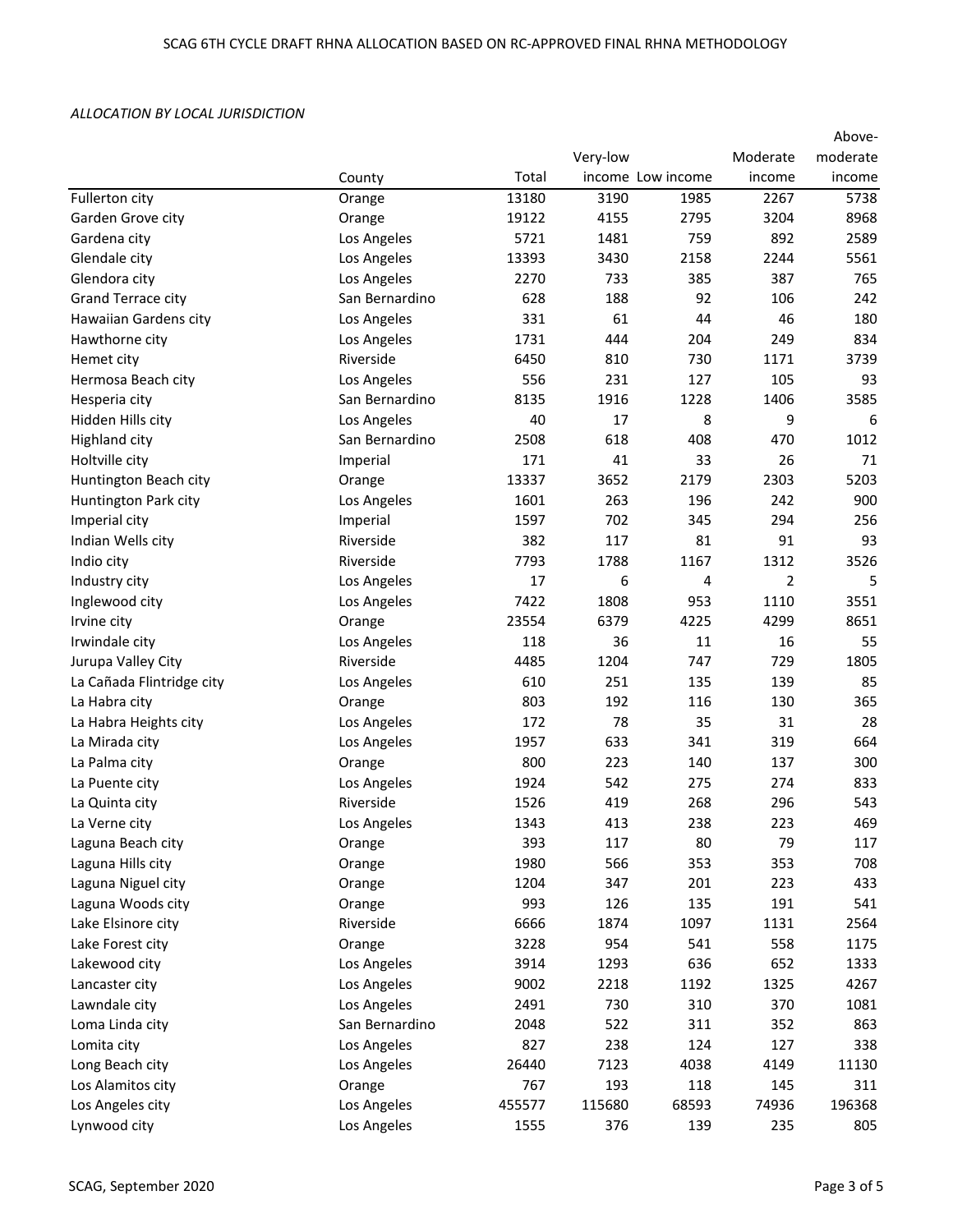|                           |                |        |                   |       |          | Above-   |
|---------------------------|----------------|--------|-------------------|-------|----------|----------|
|                           |                |        | Very-low          |       | Moderate | moderate |
|                           | County         | Total  | income Low income |       | income   | income   |
| Fullerton city            | Orange         | 13180  | 3190              | 1985  | 2267     | 5738     |
| Garden Grove city         | Orange         | 19122  | 4155              | 2795  | 3204     | 8968     |
| Gardena city              | Los Angeles    | 5721   | 1481              | 759   | 892      | 2589     |
| Glendale city             | Los Angeles    | 13393  | 3430              | 2158  | 2244     | 5561     |
| Glendora city             | Los Angeles    | 2270   | 733               | 385   | 387      | 765      |
| Grand Terrace city        | San Bernardino | 628    | 188               | 92    | 106      | 242      |
| Hawaiian Gardens city     | Los Angeles    | 331    | 61                | 44    | 46       | 180      |
| Hawthorne city            | Los Angeles    | 1731   | 444               | 204   | 249      | 834      |
| Hemet city                | Riverside      | 6450   | 810               | 730   | 1171     | 3739     |
| Hermosa Beach city        | Los Angeles    | 556    | 231               | 127   | 105      | 93       |
| Hesperia city             | San Bernardino | 8135   | 1916              | 1228  | 1406     | 3585     |
| Hidden Hills city         | Los Angeles    | 40     | 17                | 8     | 9        | 6        |
| <b>Highland city</b>      | San Bernardino | 2508   | 618               | 408   | 470      | 1012     |
| Holtville city            | Imperial       | 171    | 41                | 33    | 26       | 71       |
| Huntington Beach city     | Orange         | 13337  | 3652              | 2179  | 2303     | 5203     |
| Huntington Park city      | Los Angeles    | 1601   | 263               | 196   | 242      | 900      |
| Imperial city             | Imperial       | 1597   | 702               | 345   | 294      | 256      |
| Indian Wells city         | Riverside      | 382    | 117               | 81    | 91       | 93       |
| Indio city                | Riverside      | 7793   | 1788              | 1167  | 1312     | 3526     |
| Industry city             | Los Angeles    | 17     | 6                 | 4     | 2        | 5        |
| Inglewood city            | Los Angeles    | 7422   | 1808              | 953   | 1110     | 3551     |
| Irvine city               | Orange         | 23554  | 6379              | 4225  | 4299     | 8651     |
| Irwindale city            | Los Angeles    | 118    | 36                | 11    | 16       | 55       |
| Jurupa Valley City        | Riverside      | 4485   | 1204              | 747   | 729      | 1805     |
| La Cañada Flintridge city | Los Angeles    | 610    | 251               | 135   | 139      | 85       |
| La Habra city             | Orange         | 803    | 192               | 116   | 130      | 365      |
| La Habra Heights city     | Los Angeles    | 172    | 78                | 35    | 31       | 28       |
| La Mirada city            | Los Angeles    | 1957   | 633               | 341   | 319      | 664      |
| La Palma city             | Orange         | 800    | 223               | 140   | 137      | 300      |
| La Puente city            | Los Angeles    | 1924   | 542               | 275   | 274      | 833      |
| La Quinta city            | Riverside      | 1526   | 419               | 268   | 296      | 543      |
| La Verne city             | Los Angeles    | 1343   | 413               | 238   | 223      | 469      |
| Laguna Beach city         | Orange         | 393    | 117               | 80    | 79       | 117      |
| Laguna Hills city         | Orange         | 1980   | 566               | 353   | 353      | 708      |
| Laguna Niguel city        | Orange         | 1204   | 347               | 201   | 223      | 433      |
| Laguna Woods city         | Orange         | 993    | 126               | 135   | 191      | 541      |
| Lake Elsinore city        | Riverside      | 6666   | 1874              | 1097  | 1131     | 2564     |
| Lake Forest city          | Orange         | 3228   | 954               | 541   | 558      | 1175     |
| Lakewood city             | Los Angeles    | 3914   | 1293              | 636   | 652      | 1333     |
| Lancaster city            | Los Angeles    | 9002   | 2218              | 1192  | 1325     | 4267     |
| Lawndale city             | Los Angeles    | 2491   | 730               | 310   | 370      | 1081     |
| Loma Linda city           | San Bernardino | 2048   | 522               | 311   | 352      | 863      |
| Lomita city               | Los Angeles    | 827    | 238               | 124   | 127      | 338      |
| Long Beach city           | Los Angeles    | 26440  | 7123              | 4038  | 4149     | 11130    |
| Los Alamitos city         | Orange         | 767    | 193               | 118   | 145      | 311      |
| Los Angeles city          | Los Angeles    | 455577 | 115680            | 68593 | 74936    | 196368   |
| Lynwood city              | Los Angeles    | 1555   | 376               | 139   | 235      | 805      |
|                           |                |        |                   |       |          |          |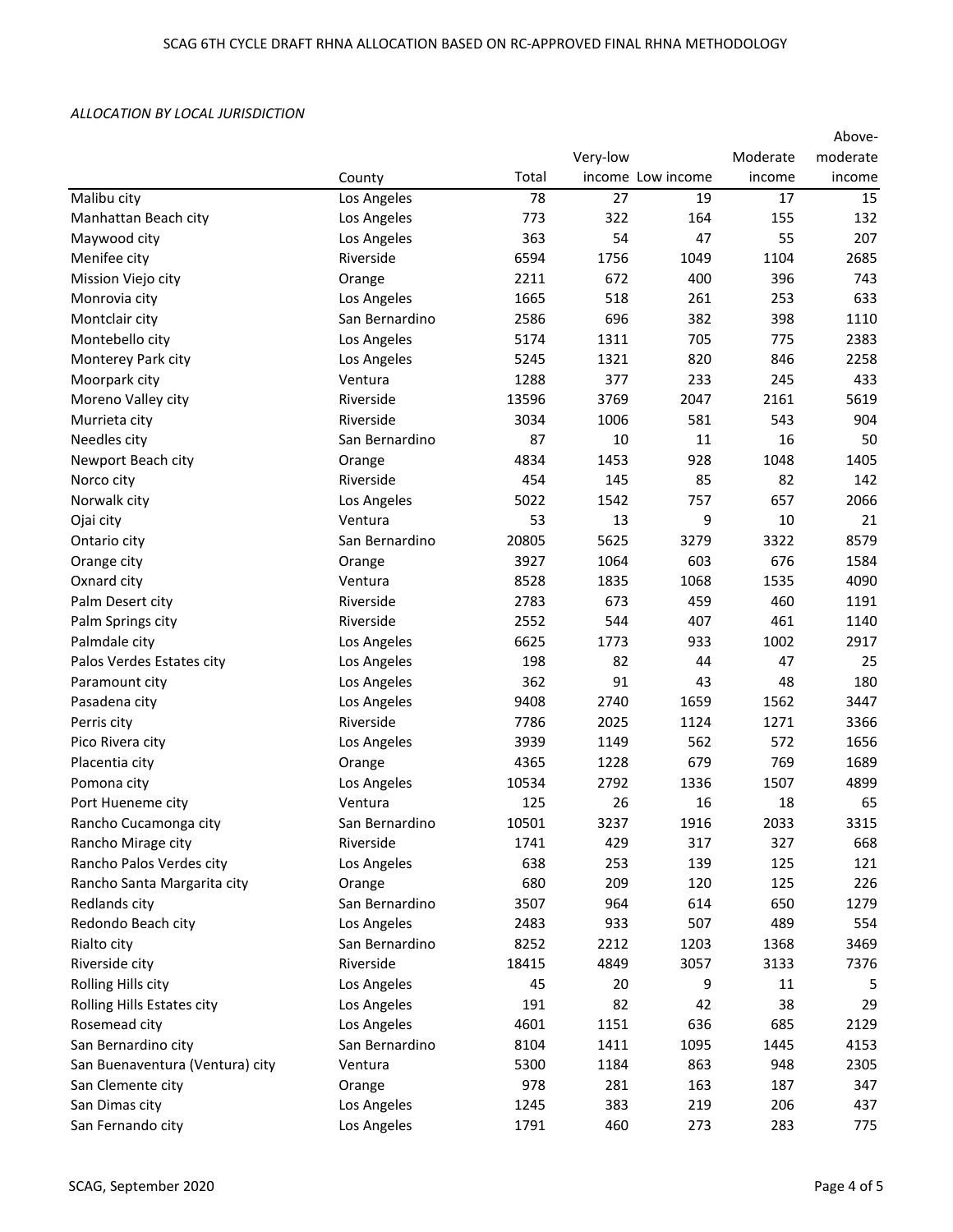|                                 |                | Above- |                   |      |          |          |  |
|---------------------------------|----------------|--------|-------------------|------|----------|----------|--|
|                                 |                |        | Very-low          |      | Moderate | moderate |  |
|                                 | County         | Total  | income Low income |      | income   | income   |  |
| Malibu city                     | Los Angeles    | 78     | 27                | 19   | 17       | 15       |  |
| Manhattan Beach city            | Los Angeles    | 773    | 322               | 164  | 155      | 132      |  |
| Maywood city                    | Los Angeles    | 363    | 54                | 47   | 55       | 207      |  |
| Menifee city                    | Riverside      | 6594   | 1756              | 1049 | 1104     | 2685     |  |
| Mission Viejo city              | Orange         | 2211   | 672               | 400  | 396      | 743      |  |
| Monrovia city                   | Los Angeles    | 1665   | 518               | 261  | 253      | 633      |  |
| Montclair city                  | San Bernardino | 2586   | 696               | 382  | 398      | 1110     |  |
| Montebello city                 | Los Angeles    | 5174   | 1311              | 705  | 775      | 2383     |  |
| Monterey Park city              | Los Angeles    | 5245   | 1321              | 820  | 846      | 2258     |  |
| Moorpark city                   | Ventura        | 1288   | 377               | 233  | 245      | 433      |  |
| Moreno Valley city              | Riverside      | 13596  | 3769              | 2047 | 2161     | 5619     |  |
| Murrieta city                   | Riverside      | 3034   | 1006              | 581  | 543      | 904      |  |
| Needles city                    | San Bernardino | 87     | 10                | 11   | 16       | 50       |  |
| Newport Beach city              | Orange         | 4834   | 1453              | 928  | 1048     | 1405     |  |
| Norco city                      | Riverside      | 454    | 145               | 85   | 82       | 142      |  |
| Norwalk city                    | Los Angeles    | 5022   | 1542              | 757  | 657      | 2066     |  |
| Ojai city                       | Ventura        | 53     | 13                | 9    | 10       | 21       |  |
| Ontario city                    | San Bernardino | 20805  | 5625              | 3279 | 3322     | 8579     |  |
| Orange city                     | Orange         | 3927   | 1064              | 603  | 676      | 1584     |  |
| Oxnard city                     | Ventura        | 8528   | 1835              | 1068 | 1535     | 4090     |  |
| Palm Desert city                | Riverside      | 2783   | 673               | 459  | 460      | 1191     |  |
| Palm Springs city               | Riverside      | 2552   | 544               | 407  | 461      | 1140     |  |
| Palmdale city                   | Los Angeles    | 6625   | 1773              | 933  | 1002     | 2917     |  |
| Palos Verdes Estates city       | Los Angeles    | 198    | 82                | 44   | 47       | 25       |  |
| Paramount city                  | Los Angeles    | 362    | 91                | 43   | 48       | 180      |  |
| Pasadena city                   | Los Angeles    | 9408   | 2740              | 1659 | 1562     | 3447     |  |
| Perris city                     | Riverside      | 7786   | 2025              | 1124 | 1271     | 3366     |  |
| Pico Rivera city                | Los Angeles    | 3939   | 1149              | 562  | 572      | 1656     |  |
| Placentia city                  | Orange         | 4365   | 1228              | 679  | 769      | 1689     |  |
| Pomona city                     | Los Angeles    | 10534  | 2792              | 1336 | 1507     | 4899     |  |
| Port Hueneme city               | Ventura        | 125    | 26                | 16   | 18       | 65       |  |
| Rancho Cucamonga city           | San Bernardino | 10501  | 3237              | 1916 | 2033     | 3315     |  |
| Rancho Mirage city              | Riverside      | 1741   | 429               | 317  | 327      | 668      |  |
| Rancho Palos Verdes city        | Los Angeles    | 638    | 253               | 139  | 125      | 121      |  |
| Rancho Santa Margarita city     | Orange         | 680    | 209               | 120  | 125      | 226      |  |
| Redlands city                   | San Bernardino | 3507   | 964               | 614  | 650      | 1279     |  |
| Redondo Beach city              | Los Angeles    | 2483   | 933               | 507  | 489      | 554      |  |
| Rialto city                     | San Bernardino | 8252   | 2212              | 1203 | 1368     | 3469     |  |
| Riverside city                  | Riverside      | 18415  | 4849              | 3057 | 3133     | 7376     |  |
| Rolling Hills city              | Los Angeles    | 45     | 20                | 9    | 11       | 5        |  |
| Rolling Hills Estates city      | Los Angeles    | 191    | 82                | 42   | 38       | 29       |  |
| Rosemead city                   | Los Angeles    | 4601   | 1151              | 636  | 685      | 2129     |  |
| San Bernardino city             | San Bernardino | 8104   | 1411              | 1095 | 1445     | 4153     |  |
| San Buenaventura (Ventura) city | Ventura        | 5300   | 1184              | 863  | 948      | 2305     |  |
| San Clemente city               | Orange         | 978    | 281               | 163  | 187      | 347      |  |
| San Dimas city                  | Los Angeles    | 1245   | 383               | 219  | 206      | 437      |  |
| San Fernando city               | Los Angeles    | 1791   | 460               | 273  | 283      | 775      |  |
|                                 |                |        |                   |      |          |          |  |